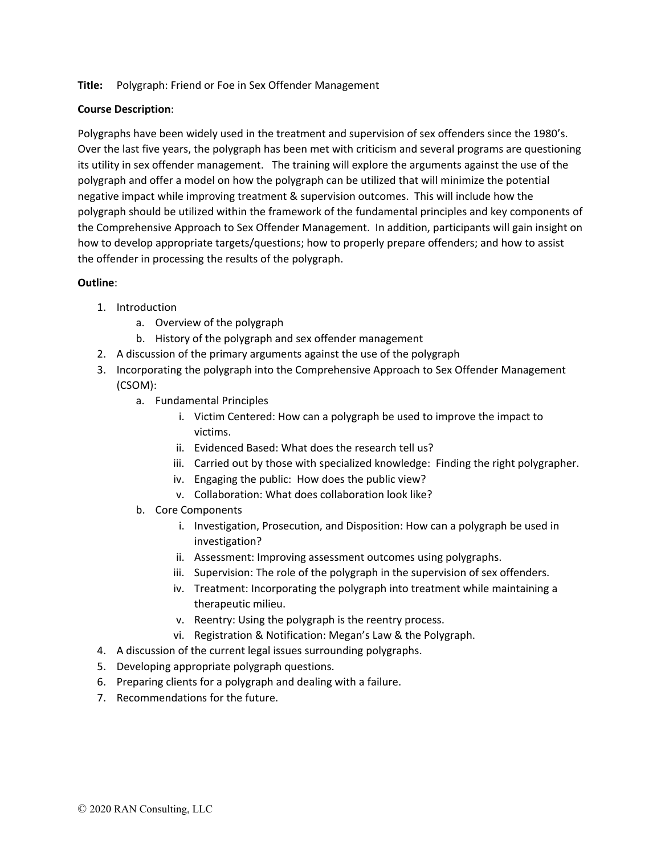## **Title:** Polygraph: Friend or Foe in Sex Offender Management

## **Course Description**:

Polygraphs have been widely used in the treatment and supervision of sex offenders since the 1980's. Over the last five years, the polygraph has been met with criticism and several programs are questioning its utility in sex offender management. The training will explore the arguments against the use of the polygraph and offer a model on how the polygraph can be utilized that will minimize the potential negative impact while improving treatment & supervision outcomes. This will include how the polygraph should be utilized within the framework of the fundamental principles and key components of the Comprehensive Approach to Sex Offender Management. In addition, participants will gain insight on how to develop appropriate targets/questions; how to properly prepare offenders; and how to assist the offender in processing the results of the polygraph.

## **Outline**:

- 1. Introduction
	- a. Overview of the polygraph
	- b. History of the polygraph and sex offender management
- 2. A discussion of the primary arguments against the use of the polygraph
- 3. Incorporating the polygraph into the Comprehensive Approach to Sex Offender Management (CSOM):
	- a. Fundamental Principles
		- i. Victim Centered: How can a polygraph be used to improve the impact to victims.
		- ii. Evidenced Based: What does the research tell us?
		- iii. Carried out by those with specialized knowledge: Finding the right polygrapher.
		- iv. Engaging the public: How does the public view?
		- v. Collaboration: What does collaboration look like?
	- b. Core Components
		- i. Investigation, Prosecution, and Disposition: How can a polygraph be used in investigation?
		- ii. Assessment: Improving assessment outcomes using polygraphs.
		- iii. Supervision: The role of the polygraph in the supervision of sex offenders.
		- iv. Treatment: Incorporating the polygraph into treatment while maintaining a therapeutic milieu.
		- v. Reentry: Using the polygraph is the reentry process.
		- vi. Registration & Notification: Megan's Law & the Polygraph.
- 4. A discussion of the current legal issues surrounding polygraphs.
- 5. Developing appropriate polygraph questions.
- 6. Preparing clients for a polygraph and dealing with a failure.
- 7. Recommendations for the future.